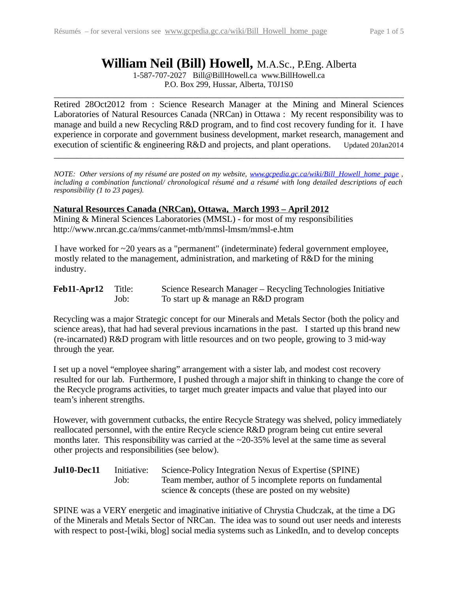# **William Neil (Bill) Howell,** M.A.Sc., P.Eng. Alberta

1-587-707-2027 Bill@BillHowell.ca www.BillHowell.ca P.O. Box 299, Hussar, Alberta, T0J1S0

\_\_\_\_\_\_\_\_\_\_\_\_\_\_\_\_\_\_\_\_\_\_\_\_\_\_\_\_\_\_\_\_\_\_\_\_\_\_\_\_\_\_\_\_\_\_\_\_\_\_\_\_\_\_\_\_\_\_\_\_\_\_\_\_\_\_\_\_\_\_\_\_\_\_\_\_\_\_

Retired 28Oct2012 from : Science Research Manager at the Mining and Mineral Sciences Laboratories of Natural Resources Canada (NRCan) in Ottawa : My recent responsibility was to manage and build a new Recycling R&D program, and to find cost recovery funding for it. I have experience in corporate and government business development, market research, management and execution of scientific & engineering R&D and projects, and plant operations. Updated 20Jan2014

*NOTE: Other versions of my résumé are posted on my website, [www.gcpedia.gc.ca/wiki/Bill\\_Howell\\_home\\_page](http://www.gcpedia.gc.ca/wiki/Bill_Howell_home_page) , including a combination functional/ chronological résumé and a résumé with long detailed descriptions of each responsibility (1 to 23 pages).*

\_\_\_\_\_\_\_\_\_\_\_\_\_\_\_\_\_\_\_\_\_\_\_\_\_\_\_\_\_\_\_\_\_\_\_\_\_\_\_\_\_\_\_\_\_\_\_\_\_\_\_\_\_\_\_\_\_\_\_\_\_\_\_\_\_\_\_\_\_\_\_\_\_\_\_\_\_\_

#### **Natural Resources Canada (NRCan), Ottawa, March 1993 – April 2012**

Mining & Mineral Sciences Laboratories (MMSL) - for most of my responsibilities http://www.nrcan.gc.ca/mms/canmet-mtb/mmsl-lmsm/mmsl-e.htm

I have worked for ~20 years as a "permanent" (indeterminate) federal government employee, mostly related to the management, administration, and marketing of R&D for the mining industry.

| Feb11-Apr12 | Title: | Science Research Manager – Recycling Technologies Initiative |
|-------------|--------|--------------------------------------------------------------|
|             | Job:   | To start up & manage an R&D program                          |

Recycling was a major Strategic concept for our Minerals and Metals Sector (both the policy and science areas), that had had several previous incarnations in the past. I started up this brand new (re-incarnated) R&D program with little resources and on two people, growing to 3 mid-way through the year.

I set up a novel "employee sharing" arrangement with a sister lab, and modest cost recovery resulted for our lab. Furthermore, I pushed through a major shift in thinking to change the core of the Recycle programs activities, to target much greater impacts and value that played into our team's inherent strengths.

However, with government cutbacks, the entire Recycle Strategy was shelved, policy immediately reallocated personnel, with the entire Recycle science R&D program being cut entire several months later. This responsibility was carried at the ~20-35% level at the same time as several other projects and responsibilities (see below).

**Jul10-Dec11** Initiative: Science-Policy Integration Nexus of Expertise (SPINE) Job: Team member, author of 5 incomplete reports on fundamental science & concepts (these are posted on my website)

SPINE was a VERY energetic and imaginative initiative of Chrystia Chudczak, at the time a DG of the Minerals and Metals Sector of NRCan. The idea was to sound out user needs and interests with respect to post-[wiki, blog] social media systems such as LinkedIn, and to develop concepts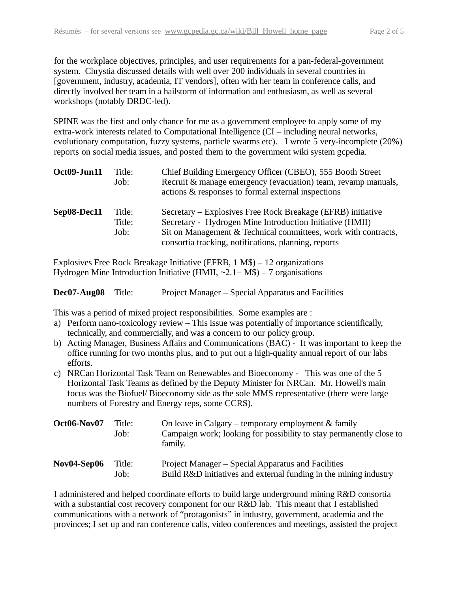for the workplace objectives, principles, and user requirements for a pan-federal-government system. Chrystia discussed details with well over 200 individuals in several countries in [government, industry, academia, IT vendors], often with her team in conference calls, and directly involved her team in a hailstorm of information and enthusiasm, as well as several workshops (notably DRDC-led).

SPINE was the first and only chance for me as a government employee to apply some of my extra-work interests related to Computational Intelligence (CI – including neural networks, evolutionary computation, fuzzy systems, particle swarms etc). I wrote 5 very-incomplete (20%) reports on social media issues, and posted them to the government wiki system gcpedia.

| Oct09-Jun11 | Title:<br>Job:           | Chief Building Emergency Officer (CBEO), 555 Booth Street<br>Recruit & manage emergency (evacuation) team, revamp manuals,<br>actions & responses to formal external inspections                                                                  |
|-------------|--------------------------|---------------------------------------------------------------------------------------------------------------------------------------------------------------------------------------------------------------------------------------------------|
| Sep08-Dec11 | Title:<br>Title:<br>Job: | Secretary – Explosives Free Rock Breakage (EFRB) initiative<br>Secretary - Hydrogen Mine Introduction Initiative (HMII)<br>Sit on Management & Technical committees, work with contracts,<br>consortia tracking, notifications, planning, reports |

Explosives Free Rock Breakage Initiative (EFRB, 1 M\$) – 12 organizations Hydrogen Mine Introduction Initiative (HMII,  $\sim$ 2.1+ M\$) – 7 organisations

| Dec07-Aug08 Title: | Project Manager – Special Apparatus and Facilities |
|--------------------|----------------------------------------------------|
|                    |                                                    |

This was a period of mixed project responsibilities. Some examples are :

- a) Perform nano-toxicology review This issue was potentially of importance scientifically, technically, and commercially, and was a concern to our policy group.
- b) Acting Manager, Business Affairs and Communications (BAC) It was important to keep the office running for two months plus, and to put out a high-quality annual report of our labs efforts.
- c) NRCan Horizontal Task Team on Renewables and Bioeconomy This was one of the 5 Horizontal Task Teams as defined by the Deputy Minister for NRCan. Mr. Howell's main focus was the Biofuel/ Bioeconomy side as the sole MMS representative (there were large numbers of Forestry and Energy reps, some CCRS).

| Oct06-Nov07 | Title:<br>Job: | On leave in Calgary – temporary employment & family<br>Campaign work; looking for possibility to stay permanently close to<br>family. |
|-------------|----------------|---------------------------------------------------------------------------------------------------------------------------------------|
| Nov04-Sep06 | Title:<br>Job: | Project Manager – Special Apparatus and Facilities<br>Build R&D initiatives and external funding in the mining industry               |

I administered and helped coordinate efforts to build large underground mining R&D consortia with a substantial cost recovery component for our R&D lab. This meant that I established communications with a network of "protagonists" in industry, government, academia and the provinces; I set up and ran conference calls, video conferences and meetings, assisted the project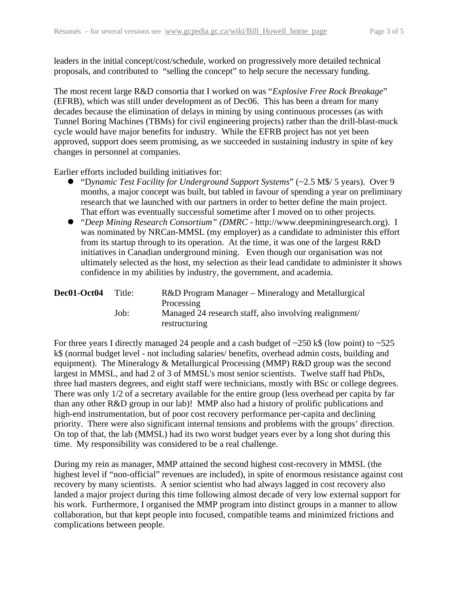leaders in the initial concept/cost/schedule, worked on progressively more detailed technical proposals, and contributed to "selling the concept" to help secure the necessary funding.

The most recent large R&D consortia that I worked on was "*Explosive Free Rock Breakage*" (EFRB), which was still under development as of Dec06. This has been a dream for many decades because the elimination of delays in mining by using continuous processes (as with Tunnel Boring Machines (TBMs) for civil engineering projects) rather than the drill-blast-muck cycle would have major benefits for industry. While the EFRB project has not yet been approved, support does seem promising, as we succeeded in sustaining industry in spite of key changes in personnel at companies.

Earlier efforts included building initiatives for:

- "D*ynamic Test Facility for Underground Support Systems*" (~2.5 M\$/ 5 years). Over 9 months, a major concept was built, but tabled in favour of spending a year on preliminary research that we launched with our partners in order to better define the main project. That effort was eventually successful sometime after I moved on to other projects.
- "*Deep Mining Research Consortium" (DMRC* http://www.deepminingresearch.org). I was nominated by NRCan-MMSL (my employer) as a candidate to administer this effort from its startup through to its operation. At the time, it was one of the largest R&D initiatives in Canadian underground mining. Even though our organisation was not ultimately selected as the host, my selection as their lead candidate to administer it shows confidence in my abilities by industry, the government, and academia.

| Dec01-Oct04 | Title: | R&D Program Manager – Mineralogy and Metallurgical<br>Processing        |
|-------------|--------|-------------------------------------------------------------------------|
|             | Job:   | Managed 24 research staff, also involving realignment/<br>restructuring |

For three years I directly managed 24 people and a cash budget of  $\sim$ 250 k\$ (low point) to  $\sim$ 525 k\$ (normal budget level - not including salaries/ benefits, overhead admin costs, building and equipment). The Mineralogy & Metallurgical Processing (MMP) R&D group was the second largest in MMSL, and had 2 of 3 of MMSL's most senior scientists. Twelve staff had PhDs, three had masters degrees, and eight staff were technicians, mostly with BSc or college degrees. There was only 1/2 of a secretary available for the entire group (less overhead per capita by far than any other R&D group in our lab)! MMP also had a history of prolific publications and high-end instrumentation, but of poor cost recovery performance per-capita and declining priority. There were also significant internal tensions and problems with the groups' direction. On top of that, the lab (MMSL) had its two worst budget years ever by a long shot during this time. My responsibility was considered to be a real challenge.

During my rein as manager, MMP attained the second highest cost-recovery in MMSL (the highest level if "non-official" revenues are included), in spite of enormous resistance against cost recovery by many scientists. A senior scientist who had always lagged in cost recovery also landed a major project during this time following almost decade of very low external support for his work. Furthermore, I organised the MMP program into distinct groups in a manner to allow collaboration, but that kept people into focused, compatible teams and minimized frictions and complications between people.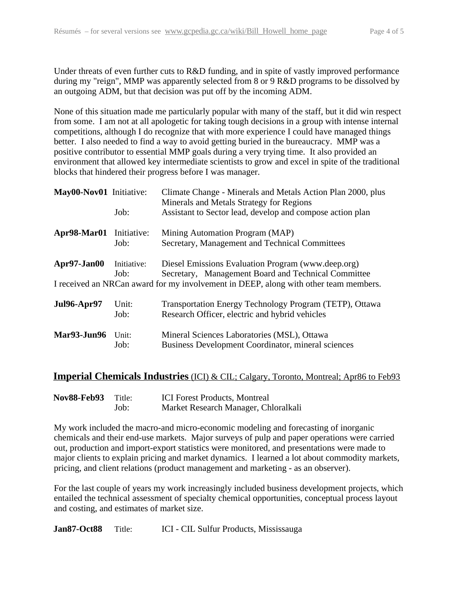Under threats of even further cuts to R&D funding, and in spite of vastly improved performance during my "reign", MMP was apparently selected from 8 or 9 R&D programs to be dissolved by an outgoing ADM, but that decision was put off by the incoming ADM.

None of this situation made me particularly popular with many of the staff, but it did win respect from some. I am not at all apologetic for taking tough decisions in a group with intense internal competitions, although I do recognize that with more experience I could have managed things better. I also needed to find a way to avoid getting buried in the bureaucracy. MMP was a positive contributor to essential MMP goals during a very trying time. It also provided an environment that allowed key intermediate scientists to grow and excel in spite of the traditional blocks that hindered their progress before I was manager.

| May00-Nov01 Initiative: | Job:                                                                                                                                                                                                                     | Climate Change - Minerals and Metals Action Plan 2000, plus<br>Minerals and Metals Strategy for Regions<br>Assistant to Sector lead, develop and compose action plan |  |
|-------------------------|--------------------------------------------------------------------------------------------------------------------------------------------------------------------------------------------------------------------------|----------------------------------------------------------------------------------------------------------------------------------------------------------------------|--|
| Apr98-Mar01 Initiative: | Job:                                                                                                                                                                                                                     | Mining Automation Program (MAP)<br>Secretary, Management and Technical Committees                                                                                    |  |
| Apr97-Jan00             | Diesel Emissions Evaluation Program (www.deep.org)<br>Initiative:<br>Secretary, Management Board and Technical Committee<br>Job:<br>I received an NRCan award for my involvement in DEEP, along with other team members. |                                                                                                                                                                      |  |
| <b>Jul96-Apr97</b>      | Unit:<br>Job:                                                                                                                                                                                                            | Transportation Energy Technology Program (TETP), Ottawa<br>Research Officer, electric and hybrid vehicles                                                            |  |
| <b>Mar93-Jun96</b>      | Unit:<br>Job:                                                                                                                                                                                                            | Mineral Sciences Laboratories (MSL), Ottawa<br>Business Development Coordinator, mineral sciences                                                                    |  |

### **Imperial Chemicals Industries** (ICI) & CIL; Calgary, Toronto, Montreal; Apr86 to Feb93

| <b>Nov88-Feb93</b> | Title: | <b>ICI</b> Forest Products, Montreal |
|--------------------|--------|--------------------------------------|
|                    | Job:   | Market Research Manager, Chloralkali |

My work included the macro-and micro-economic modeling and forecasting of inorganic chemicals and their end-use markets. Major surveys of pulp and paper operations were carried out, production and import-export statistics were monitored, and presentations were made to major clients to explain pricing and market dynamics. I learned a lot about commodity markets, pricing, and client relations (product management and marketing - as an observer).

For the last couple of years my work increasingly included business development projects, which entailed the technical assessment of specialty chemical opportunities, conceptual process layout and costing, and estimates of market size.

**Jan87-Oct88** Title: ICI - CIL Sulfur Products, Mississauga